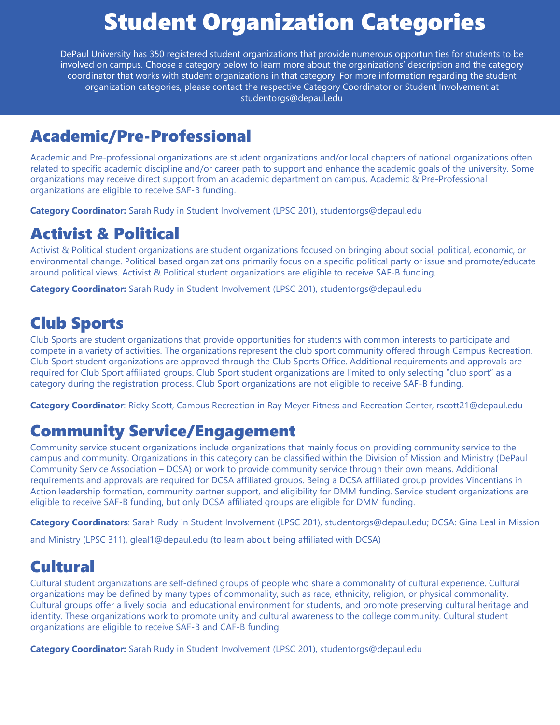# Student Organization Categories

DePaul University has 350 registered student organizations that provide numerous opportunities for students to be involved on campus. Choose a category below to learn more about the organizations' description and the category coordinator that works with student organizations in that category. For more information regarding the student organization categories, please contact the respective Category Coordinator or Student Involvement at studentorgs@depaul.edu

#### Academic/Pre-Professional

Academic and Pre-professional organizations are student organizations and/or local chapters of national organizations often related to specific academic discipline and/or career path to support and enhance the academic goals of the university. Some organizations may receive direct support from an academic department on campus. Academic & Pre-Professional organizations are eligible to receive SAF-B funding.

**Category Coordinator:** Sarah Rudy in Student Involvement (LPSC 201), studentorgs@depaul.edu

#### Activist & Political

Activist & Political student organizations are student organizations focused on bringing about social, political, economic, or environmental change. Political based organizations primarily focus on a specific political party or issue and promote/educate around political views. Activist & Political student organizations are eligible to receive SAF-B funding.

**Category Coordinator:** Sarah Rudy in Student Involvement (LPSC 201), studentorgs@depaul.edu

#### Club Sports

Club Sports are student organizations that provide opportunities for students with common interests to participate and compete in a variety of activities. The organizations represent the club sport community offered through Campus Recreation. Club Sport student organizations are approved through the Club Sports Office. Additional requirements and approvals are required for Club Sport affiliated groups. Club Sport student organizations are limited to only selecting "club sport" as a category during the registration process. Club Sport organizations are not eligible to receive SAF-B funding.

**Category Coordinator**: Ricky Scott, Campus Recreation in Ray Meyer Fitness and Recreation Center, rscott21@depaul.edu

### Community Service/Engagement

Community service student organizations include organizations that mainly focus on providing community service to the campus and community. Organizations in this category can be classified within the Division of Mission and Ministry (DePaul Community Service Association – DCSA) or work to provide community service through their own means. Additional requirements and approvals are required for DCSA affiliated groups. Being a DCSA affiliated group provides Vincentians in Action leadership formation, community partner support, and eligibility for DMM funding. Service student organizations are eligible to receive SAF-B funding, but only DCSA affiliated groups are eligible for DMM funding.

**Category Coordinators**: Sarah Rudy in Student Involvement (LPSC 201), studentorgs@depaul.edu; DCSA: Gina Leal in Mission

and Ministry (LPSC 311), gleal1@depaul.edu (to learn about being affiliated with DCSA)

#### **Cultural**

Cultural student organizations are self-defined groups of people who share a commonality of cultural experience. Cultural organizations may be defined by many types of commonality, such as race, ethnicity, religion, or physical commonality. Cultural groups offer a lively social and educational environment for students, and promote preserving cultural heritage and identity. These organizations work to promote unity and cultural awareness to the college community. Cultural student organizations are eligible to receive SAF-B and CAF-B funding.

**Category Coordinator:** Sarah Rudy in Student Involvement (LPSC 201), studentorgs@depaul.edu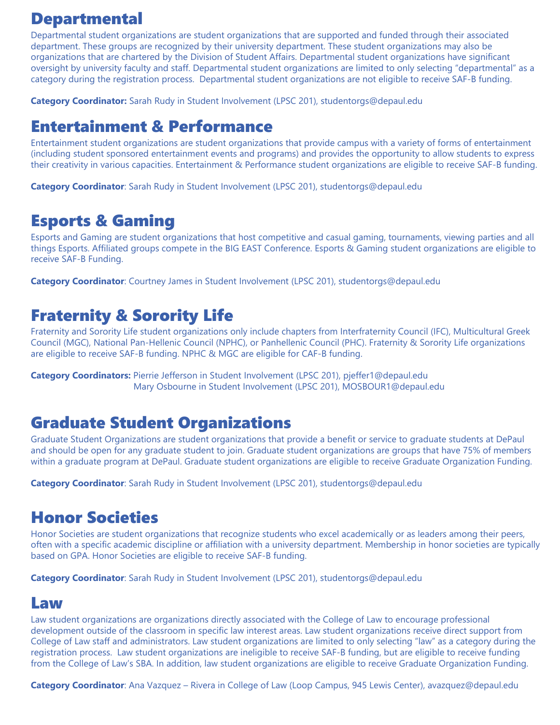#### Departmental

Departmental student organizations are student organizations that are supported and funded through their associated department. These groups are recognized by their university department. These student organizations may also be organizations that are chartered by the Division of Student Affairs. Departmental student organizations have significant oversight by university faculty and staff. Departmental student organizations are limited to only selecting "departmental" as a category during the registration process. Departmental student organizations are not eligible to receive SAF-B funding.

**Category Coordinator:** Sarah Rudy in Student Involvement (LPSC 201), studentorgs@depaul.edu

#### Entertainment & Performance

Entertainment student organizations are student organizations that provide campus with a variety of forms of entertainment (including student sponsored entertainment events and programs) and provides the opportunity to allow students to express their creativity in various capacities. Entertainment & Performance student organizations are eligible to receive SAF-B funding.

**Category Coordinator**: Sarah Rudy in Student Involvement (LPSC 201), studentorgs@depaul.edu

#### Esports & Gaming

Esports and Gaming are student organizations that host competitive and casual gaming, tournaments, viewing parties and all things Esports. Affiliated groups compete in the BIG EAST Conference. Esports & Gaming student organizations are eligible to receive SAF-B Funding.

**Category Coordinator**: Courtney James in Student Involvement (LPSC 201), studentorgs@depaul.edu

#### Fraternity & Sorority Life

Fraternity and Sorority Life student organizations only include chapters from Interfraternity Council (IFC), Multicultural Greek Council (MGC), National Pan-Hellenic Council (NPHC), or Panhellenic Council (PHC). Fraternity & Sorority Life organizations are eligible to receive SAF-B funding. NPHC & MGC are eligible for CAF-B funding.

**Category Coordinators:** Pierrie Jefferson in Student Involvement (LPSC 201), pjeffer1@depaul.edu Mary Osbourne in Student Involvement (LPSC 201), MOSBOUR1@depaul.edu

#### Graduate Student Organizations

Graduate Student Organizations are student organizations that provide a benefit or service to graduate students at DePaul and should be open for any graduate student to join. Graduate student organizations are groups that have 75% of members within a graduate program at DePaul. Graduate student organizations are eligible to receive Graduate Organization Funding.

**Category Coordinator**: Sarah Rudy in Student Involvement (LPSC 201), studentorgs@depaul.edu

#### Honor Societies

Honor Societies are student organizations that recognize students who excel academically or as leaders among their peers, often with a specific academic discipline or affiliation with a university department. Membership in honor societies are typically based on GPA. Honor Societies are eligible to receive SAF-B funding.

**Category Coordinator**: Sarah Rudy in Student Involvement (LPSC 201), studentorgs@depaul.edu

#### Law

Law student organizations are organizations directly associated with the College of Law to encourage professional development outside of the classroom in specific law interest areas. Law student organizations receive direct support from College of Law staff and administrators. Law student organizations are limited to only selecting "law" as a category during the registration process. Law student organizations are ineligible to receive SAF-B funding, but are eligible to receive funding from the College of Law's SBA. In addition, law student organizations are eligible to receive Graduate Organization Funding.

**Category Coordinator**: Ana Vazquez – Rivera in College of Law (Loop Campus, 945 Lewis Center), avazquez@depaul.edu